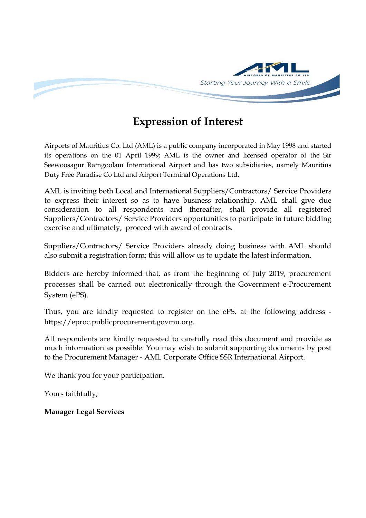

# **Expression of Interest**

Airports of Mauritius Co. Ltd (AML) is a public company incorporated in May 1998 and started its operations on the 01 April 1999; AML is the owner and licensed operator of the Sir Seewoosagur Ramgoolam International Airport and has two subsidiaries, namely Mauritius Duty Free Paradise Co Ltd and Airport Terminal Operations Ltd.

AML is inviting both Local and International Suppliers/Contractors/ Service Providers to express their interest so as to have business relationship. AML shall give due consideration to all respondents and thereafter, shall provide all registered Suppliers/Contractors/ Service Providers opportunities to participate in future bidding exercise and ultimately, proceed with award of contracts.

Suppliers/Contractors/ Service Providers already doing business with AML should also submit a registration form; this will allow us to update the latest information.

Bidders are hereby informed that, as from the beginning of July 2019, procurement processes shall be carried out electronically through the Government e-Procurement System (ePS).

Thus, you are kindly requested to register on the ePS, at the following address https://eproc.publicprocurement.govmu.org.

All respondents are kindly requested to carefully read this document and provide as much information as possible. You may wish to submit supporting documents by post to the Procurement Manager - AML Corporate Office SSR International Airport.

We thank you for your participation.

Yours faithfully;

### **Manager Legal Services**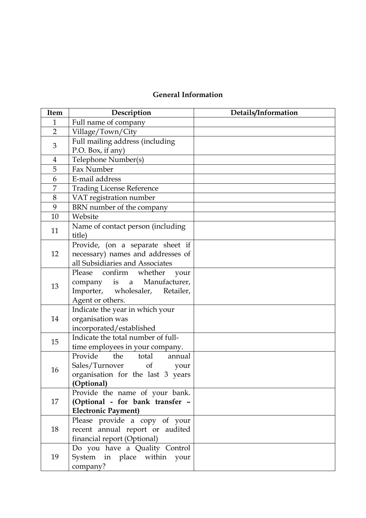## **General Information**

| Item           | Description                                                          | Details/Information |
|----------------|----------------------------------------------------------------------|---------------------|
| $\mathbf{1}$   | Full name of company                                                 |                     |
| $\overline{2}$ | Village/Town/City                                                    |                     |
| 3              | Full mailing address (including                                      |                     |
|                | P.O. Box, if any)                                                    |                     |
| 4              | Telephone Number(s)                                                  |                     |
| 5              | Fax Number                                                           |                     |
| 6              | E-mail address                                                       |                     |
| 7              | <b>Trading License Reference</b>                                     |                     |
| 8              | VAT registration number                                              |                     |
| 9              | BRN number of the company                                            |                     |
| 10             | Website                                                              |                     |
| 11             | Name of contact person (including                                    |                     |
|                | title)                                                               |                     |
|                | Provide, (on a separate sheet if                                     |                     |
| 12             | necessary) names and addresses of                                    |                     |
|                | all Subsidiaries and Associates                                      |                     |
|                | Please confirm whether your                                          |                     |
| 13             | company is a Manufacturer,                                           |                     |
|                | Importer, wholesaler, Retailer,                                      |                     |
|                | Agent or others.                                                     |                     |
|                | Indicate the year in which your                                      |                     |
| 14             | organisation was                                                     |                     |
|                | incorporated/established                                             |                     |
| 15             | Indicate the total number of full-                                   |                     |
|                | time employees in your company.<br>Provide<br>the<br>total<br>annual |                     |
| 16             | Sales/Turnover<br>$\sigma$                                           |                     |
|                | your<br>organisation for the last 3 years                            |                     |
|                | (Optional)                                                           |                     |
|                | Provide the name of your bank.                                       |                     |
| 17             | (Optional - for bank transfer -                                      |                     |
|                | <b>Electronic Payment)</b>                                           |                     |
| 18             | Please provide a copy of your                                        |                     |
|                | recent annual report or audited                                      |                     |
|                | financial report (Optional)                                          |                     |
| 19             | Do you have a Quality Control                                        |                     |
|                | System in place within your                                          |                     |
|                | company?                                                             |                     |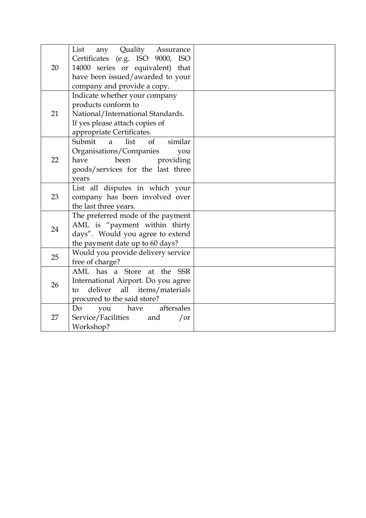| 20 | List<br>any Quality Assurance<br>Certificates (e.g. ISO 9000, ISO<br>14000 series or equivalent) that<br>have been issued/awarded to your<br>company and provide a copy. |  |
|----|--------------------------------------------------------------------------------------------------------------------------------------------------------------------------|--|
| 21 | Indicate whether your company<br>products conform to<br>National/International Standards.<br>If yes please attach copies of<br>appropriate Certificates.                 |  |
| 22 | list<br>of<br>Submit a<br>similar<br>Organisations/Companies<br>you<br>been<br>have<br>providing<br>goods/services for the last three<br>vears                           |  |
| 23 | List all disputes in which your<br>company has been involved over<br>the last three years.                                                                               |  |
| 24 | The preferred mode of the payment<br>AML is "payment within thirty<br>days". Would you agree to extend<br>the payment date up to 60 days?                                |  |
| 25 | Would you provide delivery service<br>free of charge?                                                                                                                    |  |
| 26 | AML has a Store at the SSR<br>International Airport. Do you agree<br>deliver<br>all<br>items/materials<br>to<br>procured to the said store?                              |  |
| 27 | aftersales<br>Do<br>have<br>you<br>Service/Facilities<br>and<br>$\int$ or<br>Workshop?                                                                                   |  |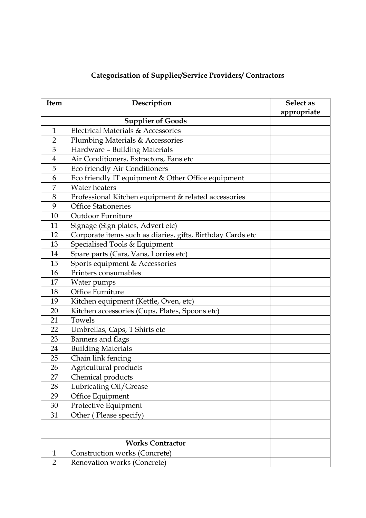## **Categorisation of Supplier/Service Providers/ Contractors**

| Item                     | Description                                                | Select as   |
|--------------------------|------------------------------------------------------------|-------------|
|                          |                                                            | appropriate |
| <b>Supplier of Goods</b> |                                                            |             |
| $\mathbf{1}$             | Electrical Materials & Accessories                         |             |
| $\overline{2}$           | Plumbing Materials & Accessories                           |             |
| $\mathfrak{B}$           | Hardware - Building Materials                              |             |
| $\overline{\mathbf{4}}$  | Air Conditioners, Extractors, Fans etc                     |             |
| 5                        | Eco friendly Air Conditioners                              |             |
| 6                        | Eco friendly IT equipment & Other Office equipment         |             |
| 7                        | <b>Water heaters</b>                                       |             |
| 8                        | Professional Kitchen equipment & related accessories       |             |
| 9                        | <b>Office Stationeries</b>                                 |             |
| 10                       | Outdoor Furniture                                          |             |
| 11                       | Signage (Sign plates, Advert etc)                          |             |
| 12                       | Corporate items such as diaries, gifts, Birthday Cards etc |             |
| 13                       | Specialised Tools & Equipment                              |             |
| 14                       | Spare parts (Cars, Vans, Lorries etc)                      |             |
| 15                       | Sports equipment & Accessories                             |             |
| 16                       | Printers consumables                                       |             |
| 17                       | Water pumps                                                |             |
| 18                       | Office Furniture                                           |             |
| 19                       | Kitchen equipment (Kettle, Oven, etc)                      |             |
| 20                       | Kitchen accessories (Cups, Plates, Spoons etc)             |             |
| 21                       | Towels                                                     |             |
| 22                       | Umbrellas, Caps, T Shirts etc                              |             |
| 23                       | Banners and flags                                          |             |
| 24                       | <b>Building Materials</b>                                  |             |
| 25                       | Chain link fencing                                         |             |
| 26                       | Agricultural products                                      |             |
| 27                       | Chemical products                                          |             |
| 28                       | Lubricating Oil/Grease                                     |             |
| 29                       | Office Equipment                                           |             |
| 30                       | Protective Equipment                                       |             |
| 31                       | Other (Please specify)                                     |             |
|                          |                                                            |             |
|                          |                                                            |             |
|                          | <b>Works Contractor</b>                                    |             |
| 1                        | Construction works (Concrete)                              |             |
| $\overline{2}$           | Renovation works (Concrete)                                |             |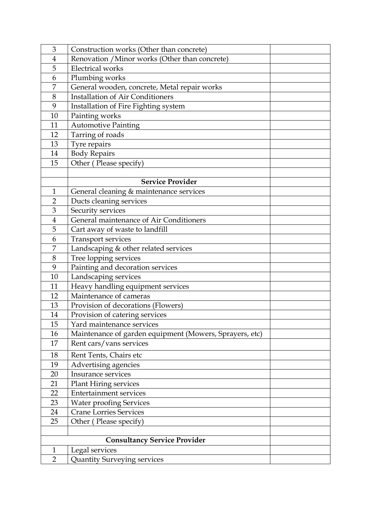| 3              | Construction works (Other than concrete)                |  |
|----------------|---------------------------------------------------------|--|
| $\overline{4}$ | Renovation / Minor works (Other than concrete)          |  |
| 5              | <b>Electrical</b> works                                 |  |
| 6              | Plumbing works                                          |  |
| 7              | General wooden, concrete, Metal repair works            |  |
| $8\,$          | <b>Installation of Air Conditioners</b>                 |  |
| 9              | Installation of Fire Fighting system                    |  |
| 10             | Painting works                                          |  |
| 11             | <b>Automotive Painting</b>                              |  |
| 12             | Tarring of roads                                        |  |
| 13             | Tyre repairs                                            |  |
| 14             | <b>Body Repairs</b>                                     |  |
| 15             | Other (Please specify)                                  |  |
|                |                                                         |  |
|                | <b>Service Provider</b>                                 |  |
| $\mathbf{1}$   | General cleaning & maintenance services                 |  |
| $\overline{2}$ | Ducts cleaning services                                 |  |
| 3              | Security services                                       |  |
| $\overline{4}$ | General maintenance of Air Conditioners                 |  |
| 5              | Cart away of waste to landfill                          |  |
| 6              | Transport services                                      |  |
| 7              | Landscaping & other related services                    |  |
| 8              | Tree lopping services                                   |  |
| 9              | Painting and decoration services                        |  |
| 10             | Landscaping services                                    |  |
| 11             | Heavy handling equipment services                       |  |
| 12             | Maintenance of cameras                                  |  |
| 13             | Provision of decorations (Flowers)                      |  |
| 14             | Provision of catering services                          |  |
| 15             | Yard maintenance services                               |  |
| 16             | Maintenance of garden equipment (Mowers, Sprayers, etc) |  |
| 17             | Rent cars/vans services                                 |  |
| 18             | Rent Tents, Chairs etc                                  |  |
| 19             | Advertising agencies                                    |  |
| 20             | Insurance services                                      |  |
| 21             | <b>Plant Hiring services</b>                            |  |
| 22             | <b>Entertainment services</b>                           |  |
| 23             | <b>Water proofing Services</b>                          |  |
| 24             | <b>Crane Lorries Services</b>                           |  |
| 25             | Other (Please specify)                                  |  |
|                |                                                         |  |
|                | <b>Consultancy Service Provider</b>                     |  |
| $\mathbf{1}$   | Legal services                                          |  |
| $\overline{2}$ | <b>Quantity Surveying services</b>                      |  |